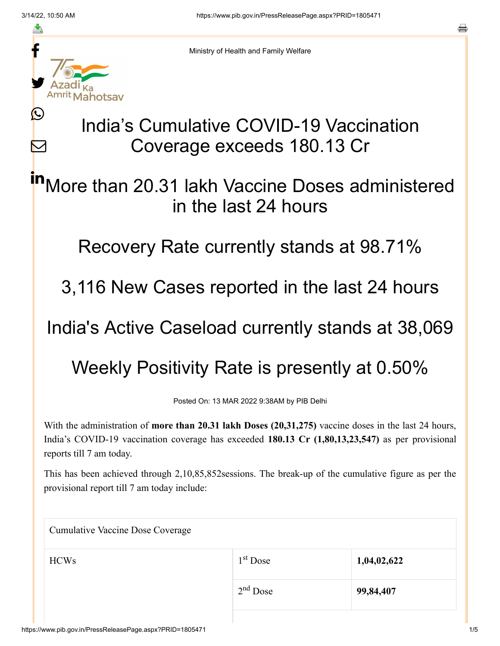≛

Ŀ

 $\bm{\nabla}$ 



Ministry of Health and Family Welfare

## India's Cumulative COVID-19 Vaccination Coverage exceeds 180.13 Cr

More than 20.31 lakh Vaccine Doses administered in the last 24 hours in

Recovery Rate currently stands at 98.71%

3,116 New Cases reported in the last 24 hours

India's Active Caseload currently stands at 38,069

Weekly Positivity Rate is presently at 0.50%

Posted On: 13 MAR 2022 9:38AM by PIB Delhi

With the administration of **more than 20.31 lakh Doses (20,31,275)** vaccine doses in the last 24 hours, India's COVID-19 vaccination coverage has exceeded **180.13 Cr (1,80,13,23,547)** as per provisional reports till 7 am today.

This has been achieved through 2,10,85,852sessions. The break-up of the cumulative figure as per the provisional report till 7 am today include:

| <b>Cumulative Vaccine Dose Coverage</b> |            |             |  |  |
|-----------------------------------------|------------|-------------|--|--|
| <b>HCWs</b>                             | $1st$ Dose | 1,04,02,622 |  |  |
|                                         | $2nd$ Dose | 99,84,407   |  |  |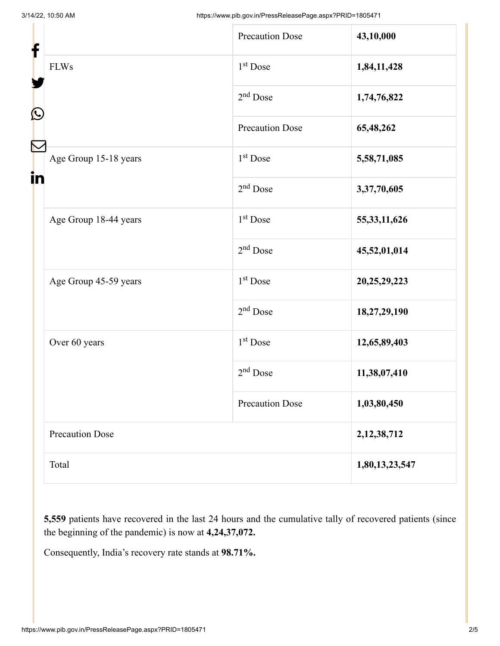| f<br>$\mathbf{\Omega}$ |                        | <b>Precaution Dose</b> | 43,10,000       |
|------------------------|------------------------|------------------------|-----------------|
|                        | <b>FLWs</b>            | $1st$ Dose             | 1,84,11,428     |
|                        |                        | $2nd$ Dose             | 1,74,76,822     |
|                        |                        | <b>Precaution Dose</b> | 65,48,262       |
| in                     | Age Group 15-18 years  | 1 <sup>st</sup> Dose   | 5,58,71,085     |
|                        |                        | $2nd$ Dose             | 3,37,70,605     |
|                        | Age Group 18-44 years  | $1st$ Dose             | 55, 33, 11, 626 |
|                        |                        | $2nd$ Dose             | 45,52,01,014    |
|                        | Age Group 45-59 years  | 1 <sup>st</sup> Dose   | 20,25,29,223    |
|                        |                        | $2nd$ Dose             | 18,27,29,190    |
|                        | Over 60 years          | $1st$ Dose             | 12,65,89,403    |
|                        |                        | $2nd$ Dose             | 11,38,07,410    |
|                        |                        | <b>Precaution Dose</b> | 1,03,80,450     |
|                        | <b>Precaution Dose</b> |                        | 2, 12, 38, 712  |
|                        | Total                  |                        | 1,80,13,23,547  |

**5,559** patients have recovered in the last 24 hours and the cumulative tally of recovered patients (since the beginning of the pandemic) is now at **4,24,37,072.**

Consequently, India's recovery rate stands at **98.71%.**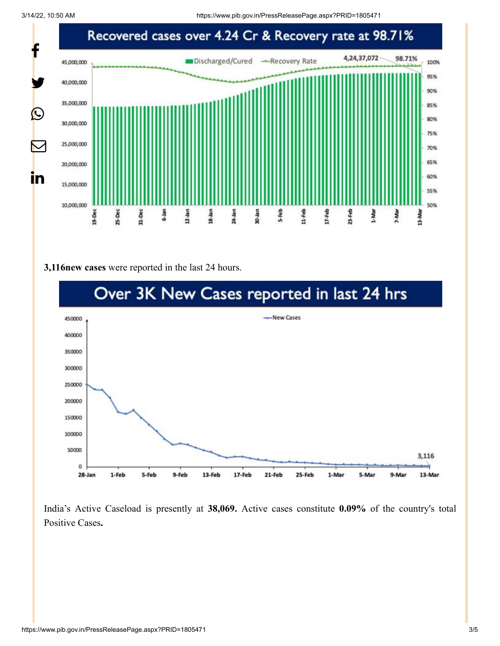3/14/22, 10:50 AM https://www.pib.gov.in/PressReleasePage.aspx?PRID=1805471



## **3,116new cases** were reported in the last 24 hours.



India's Active Caseload is presently at **38,069.** Active cases constitute **0.09%** of the country's total Positive Cases**.**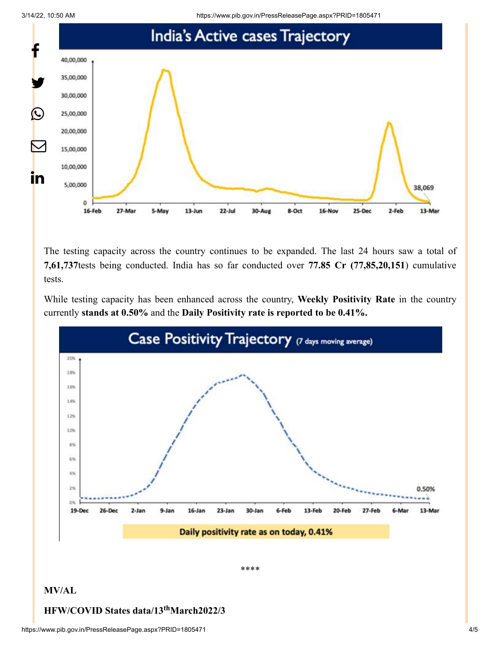3/14/22, 10:50 AM https://www.pib.gov.in/PressReleasePage.aspx?PRID=1805471



The testing capacity across the country continues to be expanded. The last 24 hours saw a total of **7,61,737**tests being conducted. India has so far conducted over **77.85 Cr (77,85,20,151**) cumulative tests.

While testing capacity has been enhanced across the country, **Weekly Positivity Rate** in the country currently **stands at 0.50%** and the **Daily Positivity rate is reported to be 0.41%.**